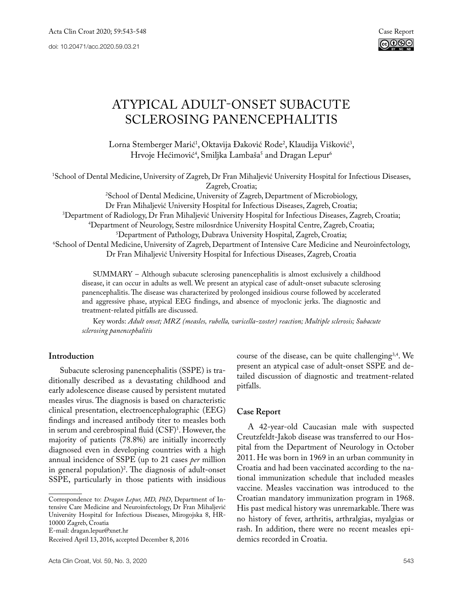

# Atypical adult-onset subacute sclerosing panencephalitis

Lorna Stemberger Marić<sup>1</sup>, Oktavija Đaković Rode<sup>2</sup>, Klaudija Višković<sup>3</sup>, Hrvoje Hećimović<sup>4</sup>, Smiljka Lambaša<sup>s</sup> and Dragan Lepur<sup>6</sup>

1 School of Dental Medicine, University of Zagreb, Dr Fran Mihaljević University Hospital for Infectious Diseases,

Zagreb, Croatia; 2 School of Dental Medicine, University of Zagreb, Department of Microbiology, Dr Fran Mihaljević University Hospital for Infectious Diseases, Zagreb, Croatia; 3 Department of Radiology, Dr Fran Mihaljević University Hospital for Infectious Diseases, Zagreb, Croatia;<br>4Department of Neurology, Sestre milosrdnice University Hospital Centre. Zagreb, Croatia: <sup>4</sup>Department of Neurology, Sestre milosrdnice University Hospital Centre, Zagreb, Croatia;<br><sup>5</sup>Department of Pathology, Dubrava University Hospital, Zagreb, Croatia; Department of Pathology, Dubrava University Hospital, Zagreb, Croatia; 6 School of Dental Medicine, University of Zagreb, Department of Intensive Care Medicine and Neuroinfectology, Dr Fran Mihaljević University Hospital for Infectious Diseases, Zagreb, Croatia

SUMMARY – Although subacute sclerosing panencephalitis is almost exclusively a childhood disease, it can occur in adults as well. We present an atypical case of adult-onset subacute sclerosing panencephalitis. The disease was characterized by prolonged insidious course followed by accelerated and aggressive phase, atypical EEG findings, and absence of myoclonic jerks. The diagnostic and treatment-related pitfalls are discussed.

Key words: *Adult onset; MRZ (measles, rubella, varicella-zoster) reaction; Multiple sclerosis; Subacute sclerosing panencephalitis*

# **Introduction**

Subacute sclerosing panencephalitis (SSPE) is traditionally described as a devastating childhood and early adolescence disease caused by persistent mutated measles virus. The diagnosis is based on characteristic clinical presentation, electroencephalographic (EEG) findings and increased antibody titer to measles both in serum and cerebrospinal fluid  $(CSF)^1$ . However, the majority of patients (78.8%) are initially incorrectly diagnosed even in developing countries with a high annual incidence of SSPE (up to 21 cases *per* million in general population)2 . The diagnosis of adult-onset SSPE, particularly in those patients with insidious

Correspondence to: *Dragan Lepur, MD, PhD*, Department of Intensive Care Medicine and Neuroinfectology, Dr Fran Mihaljević University Hospital for Infectious Diseases, Mirogojska 8, HR-10000 Zagreb, Croatia

E-mail: dragan.lepur@xnet.hr

course of the disease, can be quite challenging<sup>3,4</sup>. We present an atypical case of adult-onset SSPE and detailed discussion of diagnostic and treatment-related pitfalls.

# **Case Report**

A 42-year-old Caucasian male with suspected Creutzfeldt-Jakob disease was transferred to our Hospital from the Department of Neurology in October 2011. He was born in 1969 in an urban community in Croatia and had been vaccinated according to the national immunization schedule that included measles vaccine. Measles vaccination was introduced to the Croatian mandatory immunization program in 1968. His past medical history was unremarkable. There was no history of fever, arthritis, arthralgias, myalgias or rash. In addition, there were no recent measles epidemics recorded in Croatia.

Received April 13, 2016, accepted December 8, 2016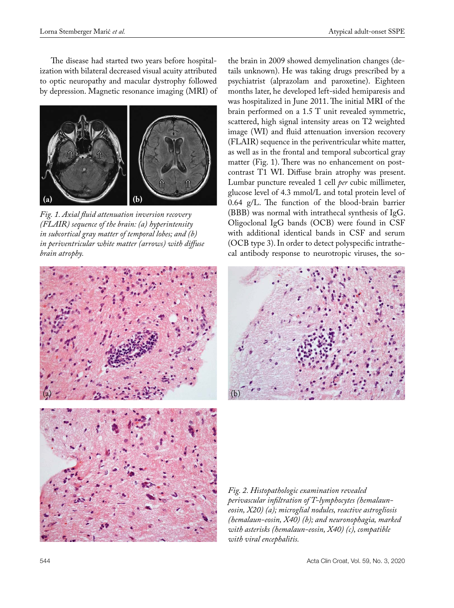The disease had started two years before hospitalization with bilateral decreased visual acuity attributed to optic neuropathy and macular dystrophy followed by depression. Magnetic resonance imaging (MRI) of



*Fig. 1. Axial fluid attenuation inversion recovery (FLAIR) sequence of the brain: (a) hyperintensity in subcortical gray matter of temporal lobes; and (b) in periventricular white matter (arrows) with diffuse brain atrophy.*



the brain in 2009 showed demyelination changes (details unknown). He was taking drugs prescribed by a psychiatrist (alprazolam and paroxetine). Eighteen months later, he developed left-sided hemiparesis and was hospitalized in June 2011. The initial MRI of the brain performed on a 1.5 T unit revealed symmetric, scattered, high signal intensity areas on T2 weighted image (WI) and fluid attenuation inversion recovery (FLAIR) sequence in the periventricular white matter, as well as in the frontal and temporal subcortical gray matter (Fig. 1). There was no enhancement on postcontrast T1 WI. Diffuse brain atrophy was present. Lumbar puncture revealed 1 cell *per* cubic millimeter, glucose level of 4.3 mmol/L and total protein level of 0.64 g/L. The function of the blood-brain barrier (BBB) was normal with intrathecal synthesis of IgG. Oligoclonal IgG bands (OCB) were found in CSF with additional identical bands in CSF and serum (OCB type 3). In order to detect polyspecific intrathecal antibody response to neurotropic viruses, the so-



*Fig. 2. Histopathologic examination revealed perivascular infiltration of T-lymphocytes (hemalauneosin, X20) (a); microglial nodules, reactive astrogliosis (hemalaun-eosin, X40) (b); and neuronophagia, marked with asterisks (hemalaun-eosin, X40) (c), compatible with viral encephalitis.*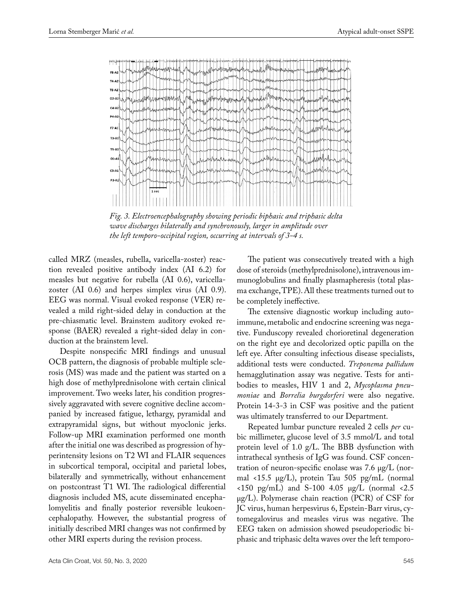

*Fig. 3. Electroencephalography showing periodic biphasic and triphasic delta wave discharges bilaterally and synchronously, larger in amplitude over the left temporo-occipital region, occurring at intervals of 3-4 s.*

called MRZ (measles, rubella, varicella-zoster) reaction revealed positive antibody index (AI 6.2) for measles but negative for rubella (AI 0.6), varicellazoster (AI 0.6) and herpes simplex virus (AI 0.9). EEG was normal. Visual evoked response (VER) revealed a mild right-sided delay in conduction at the pre-chiasmatic level. Brainstem auditory evoked response (BAER) revealed a right-sided delay in conduction at the brainstem level.

Despite nonspecific MRI findings and unusual OCB pattern, the diagnosis of probable multiple sclerosis (MS) was made and the patient was started on a high dose of methylprednisolone with certain clinical improvement. Two weeks later, his condition progressively aggravated with severe cognitive decline accompanied by increased fatigue, lethargy, pyramidal and extrapyramidal signs, but without myoclonic jerks. Follow-up MRI examination performed one month after the initial one was described as progression of hyperintensity lesions on T2 WI and FLAIR sequences in subcortical temporal, occipital and parietal lobes, bilaterally and symmetrically, without enhancement on postcontrast T1 WI. The radiological differential diagnosis included MS, acute disseminated encephalomyelitis and finally posterior reversible leukoencephalopathy. However, the substantial progress of initially described MRI changes was not confirmed by other MRI experts during the revision process.

The patient was consecutively treated with a high dose of steroids (methylprednisolone), intravenous immunoglobulins and finally plasmapheresis (total plasma exchange, TPE). All these treatments turned out to be completely ineffective.

The extensive diagnostic workup including autoimmune, metabolic and endocrine screening was negative. Funduscopy revealed chorioretinal degeneration on the right eye and decolorized optic papilla on the left eye. After consulting infectious disease specialists, additional tests were conducted. *Treponema pallidum*  hemagglutination assay was negative. Tests for antibodies to measles, HIV 1 and 2, *Mycoplasma pneumoniae* and *Borrelia burgdorferi* were also negative. Protein 14-3-3 in CSF was positive and the patient was ultimately transferred to our Department.

Repeated lumbar puncture revealed 2 cells *per* cubic millimeter, glucose level of 3.5 mmol/L and total protein level of 1.0 g/L. The BBB dysfunction with intrathecal synthesis of IgG was found. CSF concentration of neuron-specific enolase was 7.6 µg/L (normal <15.5 µg/L), protein Tau 505 pg/mL (normal  $\langle 150 \text{ pg/mL} \rangle$  and S-100 4.05 µg/L (normal  $\langle 2.5 \rangle$ µg/L). Polymerase chain reaction (PCR) of CSF for JC virus, human herpesvirus 6, Epstein-Barr virus, cytomegalovirus and measles virus was negative. The EEG taken on admission showed pseudoperiodic biphasic and triphasic delta waves over the left temporo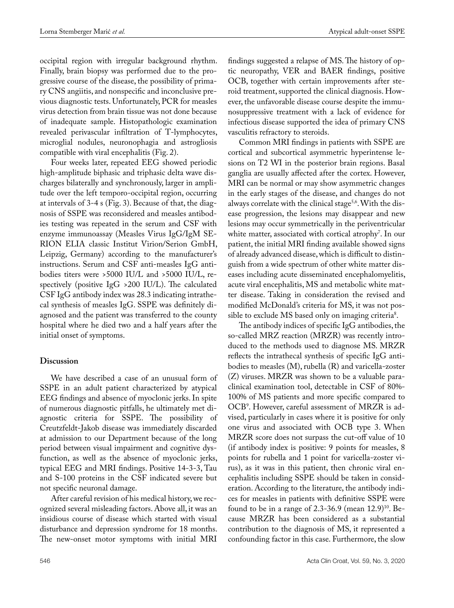occipital region with irregular background rhythm. Finally, brain biopsy was performed due to the progressive course of the disease, the possibility of primary CNS angiitis, and nonspecific and inconclusive previous diagnostic tests. Unfortunately, PCR for measles virus detection from brain tissue was not done because of inadequate sample. Histopathologic examination revealed perivascular infiltration of T-lymphocytes, microglial nodules, neuronophagia and astrogliosis compatible with viral encephalitis (Fig. 2).

Four weeks later, repeated EEG showed periodic high-amplitude biphasic and triphasic delta wave discharges bilaterally and synchronously, larger in amplitude over the left temporo-occipital region, occurring at intervals of 3-4 s (Fig. 3). Because of that, the diagnosis of SSPE was reconsidered and measles antibodies testing was repeated in the serum and CSF with enzyme immunoassay (Measles Virus IgG/IgM SE-RION ELIA classic Institut Virion/Serion GmbH, Leipzig, Germany) according to the manufacturer's instructions. Serum and CSF anti-measles IgG antibodies titers were >5000 IU/L and >5000 IU/L, respectively (positive IgG >200 IU/L). The calculated CSF IgG antibody index was 28.3 indicating intrathecal synthesis of measles IgG. SSPE was definitely diagnosed and the patient was transferred to the county hospital where he died two and a half years after the initial onset of symptoms.

# **Discussion**

We have described a case of an unusual form of SSPE in an adult patient characterized by atypical EEG findings and absence of myoclonic jerks. In spite of numerous diagnostic pitfalls, he ultimately met diagnostic criteria for SSPE. The possibility of Creutzfeldt-Jakob disease was immediately discarded at admission to our Department because of the long period between visual impairment and cognitive dysfunction, as well as the absence of myoclonic jerks, typical EEG and MRI findings. Positive 14-3-3, Tau and S-100 proteins in the CSF indicated severe but not specific neuronal damage.

After careful revision of his medical history, we recognized several misleading factors. Above all, it was an insidious course of disease which started with visual disturbance and depression syndrome for 18 months. The new-onset motor symptoms with initial MRI

tic neuropathy, VER and BAER findings, positive OCB, together with certain improvements after steroid treatment, supported the clinical diagnosis. However, the unfavorable disease course despite the immunosuppressive treatment with a lack of evidence for infectious disease supported the idea of primary CNS vasculitis refractory to steroids. Common MRI findings in patients with SSPE are

findings suggested a relapse of MS. The history of op-

cortical and subcortical asymmetric hyperintense lesions on T2 WI in the posterior brain regions. Basal ganglia are usually affected after the cortex. However, MRI can be normal or may show asymmetric changes in the early stages of the disease, and changes do not always correlate with the clinical stage<sup>5,6</sup>. With the disease progression, the lesions may disappear and new lesions may occur symmetrically in the periventricular white matter, associated with cortical atrophy<sup>7</sup>. In our patient, the initial MRI finding available showed signs of already advanced disease, which is difficult to distinguish from a wide spectrum of other white matter diseases including acute disseminated encephalomyelitis, acute viral encephalitis, MS and metabolic white matter disease. Taking in consideration the revised and modified McDonald's criteria for MS, it was not possible to exclude MS based only on imaging criteria<sup>8</sup>.

The antibody indices of specific IgG antibodies, the so-called MRZ reaction (MRZR) was recently introduced to the methods used to diagnose MS. MRZR reflects the intrathecal synthesis of specific IgG antibodies to measles (M), rubella (R) and varicella-zoster (Z) viruses. MRZR was shown to be a valuable paraclinical examination tool, detectable in CSF of 80%- 100% of MS patients and more specific compared to OCB9 . However, careful assessment of MRZR is advised, particularly in cases where it is positive for only one virus and associated with OCB type 3. When MRZR score does not surpass the cut-off value of 10 (if antibody index is positive: 9 points for measles, 8 points for rubella and 1 point for varicella-zoster virus), as it was in this patient, then chronic viral encephalitis including SSPE should be taken in consideration. According to the literature, the antibody indices for measles in patients with definitive SSPE were found to be in a range of 2.3-36.9 (mean  $12.9)$ <sup>10</sup>. Because MRZR has been considered as a substantial contribution to the diagnosis of MS, it represented a confounding factor in this case. Furthermore, the slow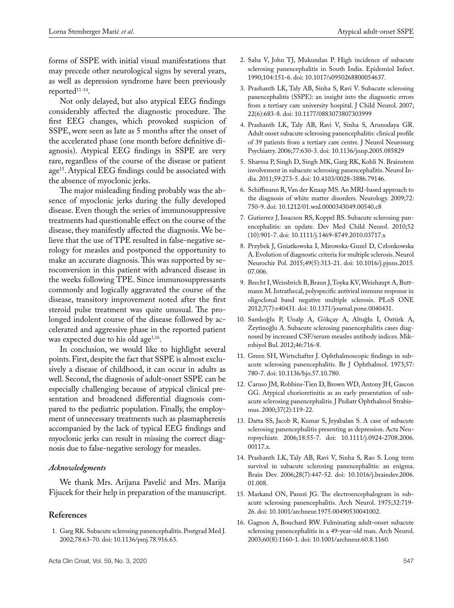forms of SSPE with initial visual manifestations that may precede other neurological signs by several years, as well as depression syndrome have been previously reported<sup>11-14</sup>.

Not only delayed, but also atypical EEG findings considerably affected the diagnostic procedure. The first EEG changes, which provoked suspicion of SSPE, were seen as late as 5 months after the onset of the accelerated phase (one month before definitive diagnosis). Atypical EEG findings in SSPE are very rare, regardless of the course of the disease or patient age<sup>15</sup>. Atypical EEG findings could be associated with the absence of myoclonic jerks.

The major misleading finding probably was the absence of myoclonic jerks during the fully developed disease. Even though the series of immunosuppressive treatments had questionable effect on the course of the disease, they manifestly affected the diagnosis. We believe that the use of TPE resulted in false-negative serology for measles and postponed the opportunity to make an accurate diagnosis. This was supported by seroconversion in this patient with advanced disease in the weeks following TPE. Since immunosuppressants commonly and logically aggravated the course of the disease, transitory improvement noted after the first steroid pulse treatment was quite unusual. The prolonged indolent course of the disease followed by accelerated and aggressive phase in the reported patient was expected due to his old age $1,16$ .

In conclusion, we would like to highlight several points. First, despite the fact that SSPE is almost exclusively a disease of childhood, it can occur in adults as well. Second, the diagnosis of adult-onset SSPE can be especially challenging because of atypical clinical presentation and broadened differential diagnosis compared to the pediatric population. Finally, the employment of unnecessary treatments such as plasmapheresis accompanied by the lack of typical EEG findings and myoclonic jerks can result in missing the correct diagnosis due to false-negative serology for measles.

#### *Acknowledgments*

We thank Mrs. Arijana Pavelić and Mrs. Marija Fijucek for their help in preparation of the manuscript.

## **References**

1. Garg RK. Subacute sclerosing panencephalitis. Postgrad Med J. 2002;78:63-70. doi: 10.1136/pmj.78.916.63.

- 2. Saha V, John TJ, Mukundan P. High incidence of subacute sclerosing panencephalitis in South India. Epidemiol Infect. 1990;104:151-6. doi: 10.1017/s0950268800054637.
- 3. Prashanth LK, Taly AB, Sinha S, Ravi V. Subacute sclerosing panencephalitis (SSPE): an insight into the diagnostic errors from a tertiary care university hospital. J Child Neurol. 2007; 22(6):683-8. doi: [10.1177/0883073807303999](https://doi.org/10.1177/0883073807303999)
- 4. Prashanth LK, Taly AB, Ravi V, Sinha S, Arunodaya GR. Adult onset subacute sclerosing panencephalitis: clinical profile of 39 patients from a tertiary care centre. J Neurol Neurosurg Psychiatry. 2006;77:630-3. doi: [10.1136/jnnp.2005.085829](https://doi.org/10.1136/jnnp.2005.085829)
- 5. Sharma P, Singh D, Singh MK, Garg RK, Kohli N. Brainstem involvement in subacute sclerosing panencephalitis. Neurol India. 2011;59:273-5. doi: 10.4103/0028-3886.79146.
- 6. Schiffmann R, Van der Knaap MS. An MRI-based approach to the diagnosis of white matter disorders. Neurology. 2009;72: 750-9. doi: [10.1212/01.wnl.0000343049.00540.c8](https://doi.org/10.1212/01.wnl.0000343049.00540.c8)
- 7. Gutierrez J, Issacson RS, Koppel BS. [Subacute sclerosing pan](https://www.ncbi.nlm.nih.gov/pubmed/20561004)[encephalitis: an update.](https://www.ncbi.nlm.nih.gov/pubmed/20561004) Dev Med Child Neurol. 2010;52 (10):901-7. doi: [10.1111/j.1469-8749.2010.03717.x](https://doi.org/10.1111/j.1469-8749.2010.03717.x)
- 8. Przybek J, Gniatkowska I, Mirowska-Guzel D, Członkowska A. Evolution of diagnostic criteria for multiple sclerosis. [Neurol](https://www.ncbi.nlm.nih.gov/pubmed/26377983) [Neurochir Pol.](https://www.ncbi.nlm.nih.gov/pubmed/26377983) 2015;49(5):313-21. doi: 10.1016/j.pjnns.2015. 07.006.
- 9. Brecht I, Weissbrich B, Braun J, Toyka KV, Weishaupt A, Buttmann M. Intrathecal, polyspecific antiviral immune response in oligoclonal band negative multiple sclerosis. PLoS ONE 2012;7(7):e40431. doi: 10.1371/journal.pone.0040431.
- 10. Samlıoğlu P, [Unalp A](https://www.ncbi.nlm.nih.gov/pubmed/?term=Unalp A%5BAuthor%5D&cauthor=true&cauthor_uid=23188587), Gökçay A, [Altuğlu I,](https://www.ncbi.nlm.nih.gov/pubmed/?term=Altu%C4%9Flu I%5BAuthor%5D&cauthor=true&cauthor_uid=23188587) [Oztürk A,](https://www.ncbi.nlm.nih.gov/pubmed/?term=Ozt%C3%BCrk A%5BAuthor%5D&cauthor=true&cauthor_uid=23188587) [Zeytinoğlu A](https://www.ncbi.nlm.nih.gov/pubmed/?term=Zeytino%C4%9Flu A%5BAuthor%5D&cauthor=true&cauthor_uid=23188587). Subacute sclerosing panencephalitis cases diagnosed by increased CSF/serum measles antibody indices. [Mik](https://www.ncbi.nlm.nih.gov/pubmed/23188587)[robiyol Bul.](https://www.ncbi.nlm.nih.gov/pubmed/23188587) 2012;46:716-8.
- 11. Green SH, Wirtschafter J. Ophthalmoscopic findings in subacute sclerosing panencephalitis. Br J Ophthalmol. 1973;57: 780-7. doi: 10.1136/bjo.57.10.780.
- 12. Caruso JM, Robbins-Tien D, Brown WD, Antony JH, Gascon GG. Atypical chorioretinitis as an early presentation of subacute sclerosing panencephalitis. J Pediatr Ophthalmol Strabismus. 2000;37(2):119-22.
- 13. Datta SS, Jacob R, Kumar S, Jeyabalan S. A case of subacute sclerosing panencephalitis presenting as depression. Acta Neuropsychiatr. 2006;18:55-7. doi: 10.1111/j.0924-2708.2006. 00117.x.
- 14. Prashanth LK, Taly AB, Ravi V, Sinha S, Rao S. Long term survival in subacute sclerosing panencephalitis: an enigma. Brain Dev. 2006;28(7):447-52. doi: 10.1016/j.braindev.2006. 01.008.
- 15. Markand ON, Panszi JG. The electroencephalogram in subacute sclerosing panencephalitis. Arch Neurol. 1975;32:719- 26. doi: 10.1001/archneur.1975.00490530041002.
- 16. Gagnon A, Bouchard RW. Fulminating adult-onset subacute sclerosing panencephalitis in a 49-year-old man. Arch Neurol. 2003;60(8):1160-1. doi: 10.1001/archneur.60.8.1160.